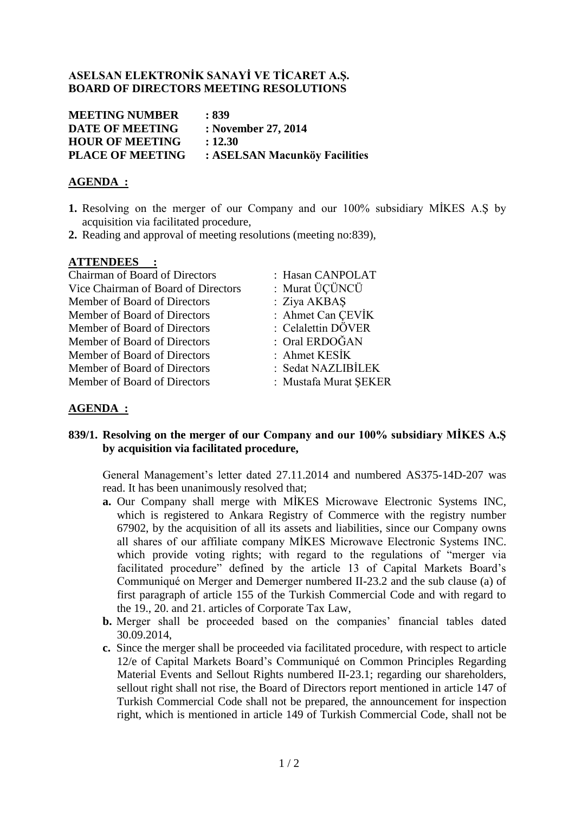## **ASELSAN ELEKTRONİK SANAYİ VE TİCARET A.Ş. BOARD OF DIRECTORS MEETING RESOLUTIONS**

| <b>MEETING NUMBER</b>   | : 839                         |
|-------------------------|-------------------------------|
| <b>DATE OF MEETING</b>  | : November 27, 2014           |
| <b>HOUR OF MEETING</b>  | : 12.30                       |
| <b>PLACE OF MEETING</b> | : ASELSAN Macunköy Facilities |

### **AGENDA :**

- **1.** Resolving on the merger of our Company and our 100% subsidiary MİKES A.Ş by acquisition via facilitated procedure,
- **2.** Reading and approval of meeting resolutions (meeting no:839),

### **ATTENDEES :**

| <b>Chairman of Board of Directors</b> | : Hasan       |
|---------------------------------------|---------------|
| Vice Chairman of Board of Directors   | : Murat       |
| Member of Board of Directors          | : Ziya $\ell$ |
| Member of Board of Directors          | : Ahme        |
| Member of Board of Directors          | : Celale      |
| Member of Board of Directors          | $:$ Oral E    |
| Member of Board of Directors          | : Ahme        |
| Member of Board of Directors          | : Sedat       |
| Member of Board of Directors          | : Musta       |

n CANPOLAT

- ÜCÜNCÜ
- AKBAS
- et Can CEVİK
- ettin DÖVER
- E**RDOĞAN**
- $\rm _{et}$  KESİK .
- NAZLIBİLEK
- afa Murat SEKER

# **AGENDA :**

### **839/1. Resolving on the merger of our Company and our 100% subsidiary MİKES A.Ş by acquisition via facilitated procedure,**

General Management's letter dated 27.11.2014 and numbered AS375-14D-207 was read. It has been unanimously resolved that;

- **a.** Our Company shall merge with MİKES Microwave Electronic Systems INC, which is registered to Ankara Registry of Commerce with the registry number 67902, by the acquisition of all its assets and liabilities, since our Company owns all shares of our affiliate company MİKES Microwave Electronic Systems INC. which provide voting rights; with regard to the regulations of "merger via" facilitated procedure" defined by the article 13 of Capital Markets Board's Communiqué on Merger and Demerger numbered II-23.2 and the sub clause (a) of first paragraph of article 155 of the Turkish Commercial Code and with regard to the 19., 20. and 21. articles of Corporate Tax Law,
- **b.** Merger shall be proceeded based on the companies' financial tables dated 30.09.2014,
- **c.** Since the merger shall be proceeded via facilitated procedure, with respect to article 12/e of Capital Markets Board's Communiqué on Common Principles Regarding Material Events and Sellout Rights numbered II-23.1; regarding our shareholders, sellout right shall not rise, the Board of Directors report mentioned in article 147 of Turkish Commercial Code shall not be prepared, the announcement for inspection right, which is mentioned in article 149 of Turkish Commercial Code, shall not be